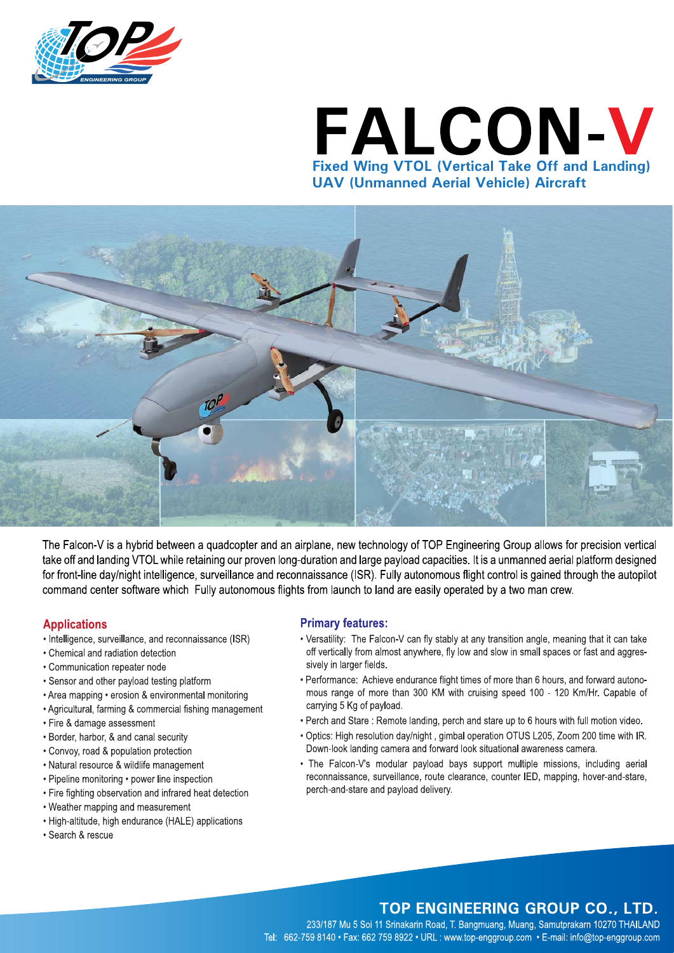

# FALCON-V **Fixed Wing VTOL (Vertical Take Off and Landing) UAV (Unmanned Aerial Vehicle) Aircraft**



The Falcon-V is a hybrid between a quadcopter and an airplane, new technology of TOP Engineering Group allows for precision vertical take off and landing VTOL while retaining our proven long-duration and large payload capacities. It is a unmanned aerial platform designed for front-line day/night intelligence, surveillance and reconnaissance (ISR). Fully autonomous flight control is gained through the autopilot command center software which Fully autonomous flights from launch to land are easily operated by a two man crew.

### **Applications**

- Intelligence, surveillance, and reconnaissance (ISR)
- Chemical and radiation detection
- Communication repeater node
- Sensor and other payload testing platform
- Area mapping erosion & environmental monitoring
- Agricultural, farming & commercial fishing management
- Fire & damage assessment
- Border, harbor, & and canal security
- Convoy, road & population protection
- Natural resource & wildlife management
- Pipeline monitoring power line inspection
- Fire fighting observation and infrared heat detection
- Weather mapping and measurement
- High-altitude, high endurance (HALE) applications
- · Search & rescue

### **Primary features:**

- Versatility: The Falcon-V can fly stably at any transition angle, meaning that it can take off vertically from almost anywhere, fly low and slow in small spaces or fast and aggressively in larger fields.
- Performance: Achieve endurance flight times of more than 6 hours, and forward autonomous range of more than 300 KM with cruising speed 100 - 120 Km/Hr. Capable of carrying 5 Kg of payload.
- . Perch and Stare: Remote landing, perch and stare up to 6 hours with full motion video.
- . Optics: High resolution day/night, gimbal operation OTUS L205, Zoom 200 time with IR. Down-look landing camera and forward look situational awareness camera.
- . The Falcon-V's modular payload bays support multiple missions, including aerial reconnaissance, surveillance, route clearance, counter IED, mapping, hover-and-stare, perch-and-stare and payload delivery.

## TOP ENGINEERING GROUP CO., LTD.

233/187 Mu 5 Soi 11 Srinakarin Road, T. Bangmuang, Muang, Samutprakarn 10270 THAILAND Tel: 662-759 8140 · Fax: 662 759 8922 · URL : www.top-enggroup.com · E-mail: info@top-enggroup.com